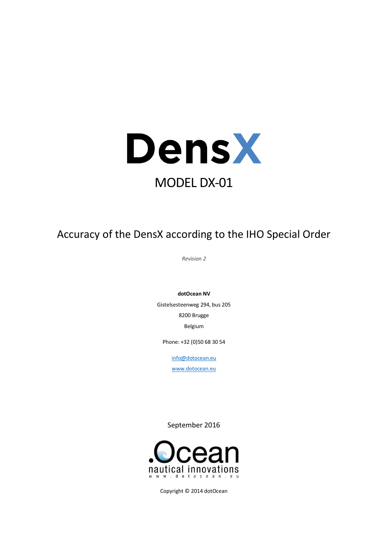

Accuracy of the DensX according to the IHO Special Order

*Revision 2*

**dotOcean NV**

Gistelsesteenweg 294, bus 205 8200 Brugge Belgium

Phone: +32 (0)50 68 30 54

[info@dotocean.eu](mailto:info@dotocean.eu)

[www.dotocean.eu](http://www.dotocean.eu/)

September 2016



Copyright © 2014 dotOcean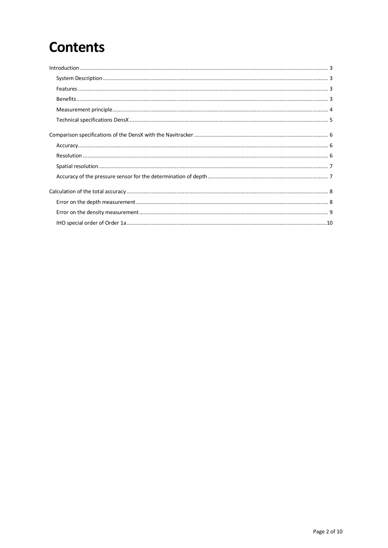# **Contents**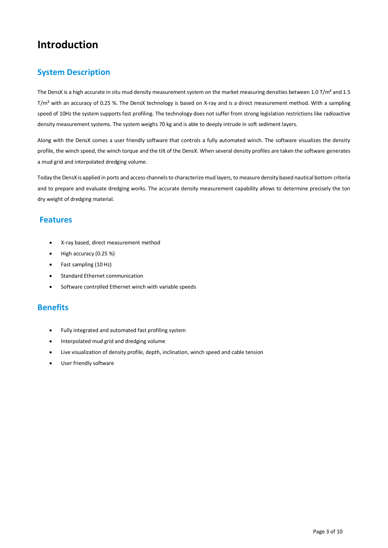## <span id="page-2-0"></span>**Introduction**

## <span id="page-2-1"></span>**System Description**

The DensX is a high accurate in situ mud density measurement system on the market measuring densities between 1.0 T/m<sup>3</sup> and 1.5 T/m<sup>3</sup> with an accuracy of 0.25 %. The DensX technology is based on X-ray and is a direct measurement method. With a sampling speed of 10Hz the system supports fast profiling. The technology does not suffer from strong legislation restrictions like radioactive density measurement systems. The system weighs 70 kg and is able to deeply intrude in soft sediment layers.

Along with the DensX comes a user friendly software that controls a fully automated winch. The software visualizes the density profile, the winch speed, the winch torque and the tilt of the DensX. When several density profiles are taken the software generates a mud grid and interpolated dredging volume.

Today the DensX is applied in ports and access channels to characterize mud layers, to measure density based nautical bottom criteria and to prepare and evaluate dredging works. The accurate density measurement capability allows to determine precisely the ton dry weight of dredging material.

## <span id="page-2-2"></span>**Features**

- X-ray based, direct measurement method
- $\bullet$  High accuracy (0.25 %)
- Fast sampling (10 Hz)
- Standard Ethernet communication
- Software controlled Ethernet winch with variable speeds

## <span id="page-2-3"></span>**Benefits**

- Fully integrated and automated fast profiling system
- Interpolated mud grid and dredging volume
- Live visualization of density profile, depth, inclination, winch speed and cable tension
- User friendly software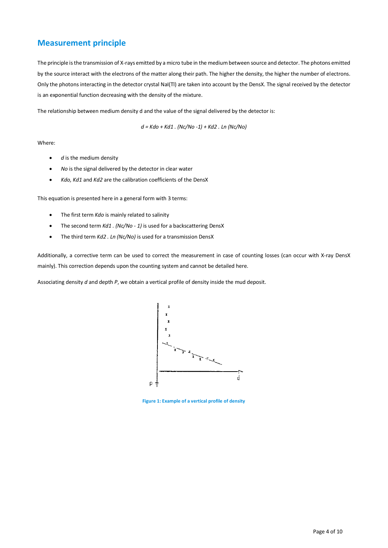## <span id="page-3-0"></span>**Measurement principle**

The principle is the transmission of X-rays emitted by a micro tube in the medium between source and detector. The photons emitted by the source interact with the electrons of the matter along their path. The higher the density, the higher the number of electrons. Only the photons interacting in the detector crystal NaI(Tl) are taken into account by the DensX. The signal received by the detector is an exponential function decreasing with the density of the mixture.

The relationship between medium density d and the value of the signal delivered by the detector is:

$$
d = Kdo + Kd1
$$
.  $(Nc/No - 1) + Kd2$ . *Ln*  $(Nc/No)$ 

#### Where:

- *d* is the medium density
- *No* is the signal delivered by the detector in clear water
- *Kdo, Kd1* and *Kd2* are the calibration coefficients of the DensX

This equation is presented here in a general form with 3 terms:

- The first term *Kdo* is mainly related to salinity
- The second term *Kd1.* (Nc/No 1) is used for a backscattering DensX
- The third term *Kd2 . Ln (Nc/No)* is used for a transmission DensX

Additionally, a corrective term can be used to correct the measurement in case of counting losses (can occur with X-ray DensX mainly). This correction depends upon the counting system and cannot be detailed here.

Associating density *d* and depth *P*, we obtain a vertical profile of density inside the mud deposit.



**Figure 1: Example of a vertical profile of density**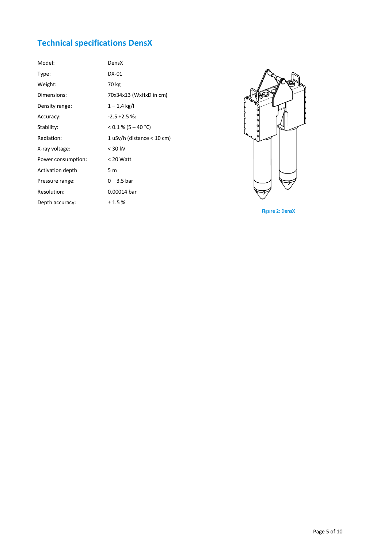## <span id="page-4-0"></span>**Technical specifications DensX**

| Model:             | DensX                        |
|--------------------|------------------------------|
| Type:              | DX-01                        |
| Weight:            | 70 kg                        |
| Dimensions:        | 70x34x13 (WxHxD in cm)       |
| Density range:     | $1 - 1.4$ kg/l               |
| Accuracy:          | $-2.5 + 2.5 \%$              |
| Stability:         | $< 0.1 % (5 - 40 °C)$        |
| Radiation:         | 1 uSv/h (distance $<$ 10 cm) |
| X-ray voltage:     | $<$ 30 kV                    |
| Power consumption: | $< 20$ Watt                  |
| Activation depth   | 5 m                          |
| Pressure range:    | $0 - 3.5$ bar                |
| Resolution:        | 0.00014 bar                  |
| Depth accuracy:    | ±1.5%                        |



**Figure 2: DensX**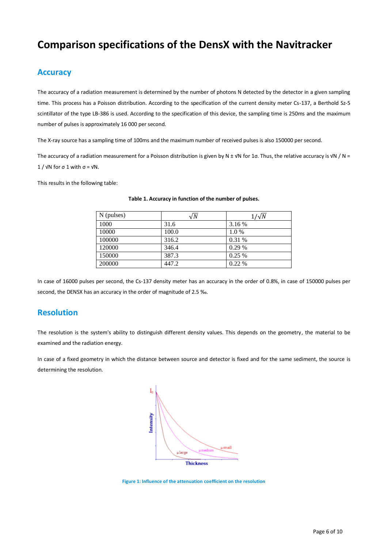## <span id="page-5-0"></span>**Comparison specifications of the DensX with the Navitracker**

### <span id="page-5-1"></span>**Accuracy**

The accuracy of a radiation measurement is determined by the number of photons N detected by the detector in a given sampling time. This process has a Poisson distribution. According to the specification of the current density meter Cs-137, a Berthold Sz-5 scintillator of the type LB-386 is used. According to the specification of this device, the sampling time is 250ms and the maximum number of pulses is approximately 16 000 per second.

The X-ray source has a sampling time of 100ms and the maximum number of received pulses is also 150000 per second.

The accuracy of a radiation measurement for a Poisson distribution is given by N ± √N for 1 $\sigma$ . Thus, the relative accuracy is √N / N =  $1 / \sqrt{N}$  for  $\sigma$  1 with  $\sigma$  =  $\sqrt{N}$ .

This results in the following table:

| N (pulses) | $\sqrt{N}$ | $1/\sqrt{N}$ |
|------------|------------|--------------|
| 1000       | 31.6       | 3.16 %       |
| 10000      | 100.0      | $1.0\%$      |
| 100000     | 316.2      | 0.31%        |
| 120000     | 346.4      | 0.29%        |
| 150000     | 387.3      | 0.25%        |
| 200000     | 447.2      | 0.22%        |

#### **Table 1. Accuracy in function of the number of pulses.**

In case of 16000 pulses per second, the Cs-137 density meter has an accuracy in the order of 0.8%, in case of 150000 pulses per second, the DENSX has an accuracy in the order of magnitude of 2.5 ‰.

### <span id="page-5-2"></span>**Resolution**

The resolution is the system's ability to distinguish different density values. This depends on the geometry, the material to be examined and the radiation energy.

In case of a fixed geometry in which the distance between source and detector is fixed and for the same sediment, the source is determining the resolution.



**Figure 1: Influence of the attenuation coefficient on the resolution**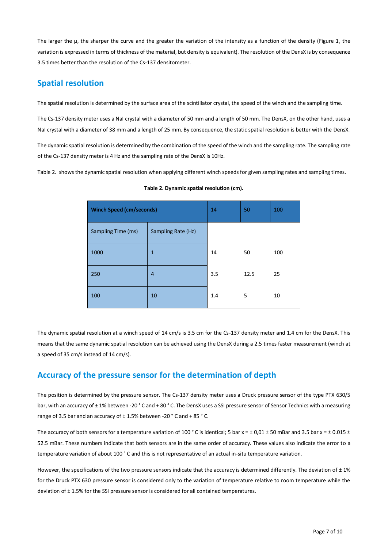The larger the  $\mu$ , the sharper the curve and the greater the variation of the intensity as a function of the density (Figure 1, the variation is expressed in terms of thickness of the material, but density is equivalent). The resolution of the DensX is by consequence 3.5 times better than the resolution of the Cs-137 densitometer.

## <span id="page-6-0"></span>**Spatial resolution**

The spatial resolution is determined by the surface area of the scintillator crystal, the speed of the winch and the sampling time.

The Cs-137 density meter uses a NaI crystal with a diameter of 50 mm and a length of 50 mm. The DensX, on the other hand, uses a NaI crystal with a diameter of 38 mm and a length of 25 mm. By consequence, the static spatial resolution is better with the DensX.

The dynamic spatial resolution is determined by the combination of the speed of the winch and the sampling rate. The sampling rate of the Cs-137 density meter is 4 Hz and the sampling rate of the DensX is 10Hz.

Table 2. shows the dynamic spatial resolution when applying different winch speeds for given sampling rates and sampling times.

| <b>Winch Speed (cm/seconds)</b> |                    | 14  | 50   | 100 |
|---------------------------------|--------------------|-----|------|-----|
| Sampling Time (ms)              | Sampling Rate (Hz) |     |      |     |
| 1000                            | $\mathbf{1}$       | 14  | 50   | 100 |
| 250                             | $\overline{4}$     | 3.5 | 12.5 | 25  |
| 100                             | 10                 | 1.4 | 5    | 10  |

|  |  | Table 2. Dynamic spatial resolution (cm). |  |
|--|--|-------------------------------------------|--|
|  |  |                                           |  |

The dynamic spatial resolution at a winch speed of 14 cm/s is 3.5 cm for the Cs-137 density meter and 1.4 cm for the DensX. This means that the same dynamic spatial resolution can be achieved using the DensX during a 2.5 times faster measurement (winch at a speed of 35 cm/s instead of 14 cm/s).

## <span id="page-6-1"></span>**Accuracy of the pressure sensor for the determination of depth**

The position is determined by the pressure sensor. The Cs-137 density meter uses a Druck pressure sensor of the type PTX 630/5 bar, with an accuracy of ± 1% between -20 ° C and + 80 ° C. The DensX uses a SSI pressure sensor of Sensor Technics with a measuring range of 3.5 bar and an accuracy of  $\pm$  1.5% between -20  $^{\circ}$  C and + 85  $^{\circ}$  C.

The accuracy of both sensors for a temperature variation of 100 °C is identical; 5 bar x =  $\pm$  0,01  $\pm$  50 mBar and 3.5 bar x =  $\pm$  0.015  $\pm$ 52.5 mBar. These numbers indicate that both sensors are in the same order of accuracy. These values also indicate the error to a temperature variation of about 100 ° C and this is not representative of an actual in-situ temperature variation.

However, the specifications of the two pressure sensors indicate that the accuracy is determined differently. The deviation of  $\pm$  1% for the Druck PTX 630 pressure sensor is considered only to the variation of temperature relative to room temperature while the deviation of  $\pm$  1.5% for the SSI pressure sensor is considered for all contained temperatures.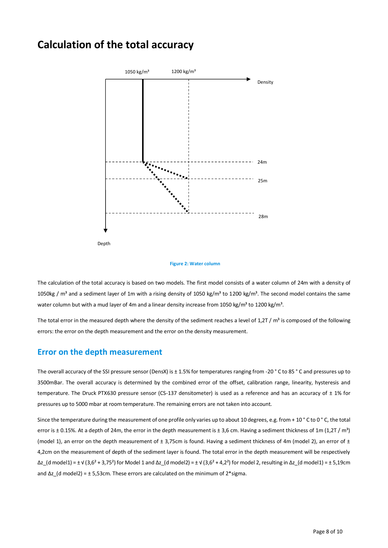## <span id="page-7-0"></span>**Calculation of the total accuracy**



#### **Figure 2: Water column**

The calculation of the total accuracy is based on two models. The first model consists of a water column of 24m with a density of 1050kg /  $m<sup>3</sup>$  and a sediment layer of 1m with a rising density of 1050 kg/ $m<sup>3</sup>$  to 1200 kg/ $m<sup>3</sup>$ . The second model contains the same water column but with a mud layer of 4m and a linear density increase from 1050 kg/m<sup>3</sup> to 1200 kg/m<sup>3</sup>.

The total error in the measured depth where the density of the sediment reaches a level of 1,2T /  $m<sup>3</sup>$  is composed of the following errors: the error on the depth measurement and the error on the density measurement.

### <span id="page-7-1"></span>**Error on the depth measurement**

The overall accuracy of the SSI pressure sensor (DensX) is ± 1.5% for temperatures ranging from -20 ° C to 85 ° C and pressures up to 3500mBar. The overall accuracy is determined by the combined error of the offset, calibration range, linearity, hysteresis and temperature. The Druck PTX630 pressure sensor (CS-137 densitometer) is used as a reference and has an accuracy of  $\pm$  1% for pressures up to 5000 mbar at room temperature. The remaining errors are not taken into account.

Since the temperature during the measurement of one profile only varies up to about 10 degrees, e.g. from + 10 °C to 0 °C, the total error is  $\pm$  0.15%. At a depth of 24m, the error in the depth measurement is  $\pm$  3,6 cm. Having a sediment thickness of 1m (1,2T / m<sup>3</sup>) (model 1), an error on the depth measurement of  $\pm$  3,75cm is found. Having a sediment thickness of 4m (model 2), an error of  $\pm$ 4,2cm on the measurement of depth of the sediment layer is found. The total error in the depth measurement will be respectively  $\Delta z$  (d model1) = ±  $\sqrt{(3.6^2 + 3.75^2)}$  for Model 1 and  $\Delta z$  (d model2) = ±  $\sqrt{(3.6^2 + 4.2^2)}$  for model 2, resulting in  $\Delta z$  (d model1) = ± 5,19cm and  $\Delta z$  (d model2) = ± 5,53cm. These errors are calculated on the minimum of 2\*sigma.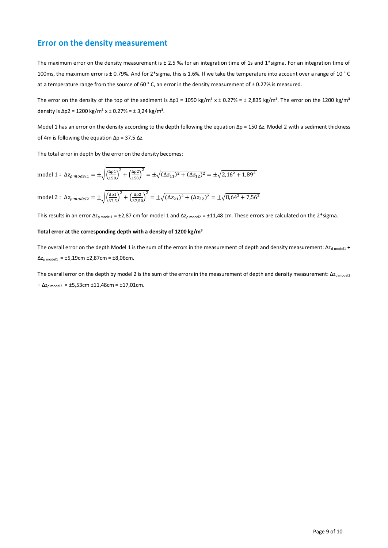### <span id="page-8-0"></span>**Error on the density measurement**

The maximum error on the density measurement is  $\pm 2.5$  % for an integration time of 1s and 1\*sigma. For an integration time of 100ms, the maximum error is ± 0.79%. And for 2\*sigma, this is 1.6%. If we take the temperature into account over a range of 10 ° C at a temperature range from the source of 60 ° C, an error in the density measurement of ± 0.27% is measured.

The error on the density of the top of the sediment is  $\Delta p_1 = 1050 \text{ kg/m}^3 \times \pm 0.27\% = \pm 2.835 \text{ kg/m}^3$ . The error on the 1200 kg/m<sup>3</sup> density is  $\Delta p2 = 1200 \text{ kg/m}^3 \text{ x } \pm 0.27\% = \pm 3.24 \text{ kg/m}^3$ .

Model 1 has an error on the density according to the depth following the equation Δρ = 150 Δz. Model 2 with a sediment thickness of 4m is following the equation Δρ = 37.5 Δz.

The total error in depth by the error on the density becomes:

model 1 : 
$$
\Delta z_{\rho \text{ model1}} = \pm \sqrt{\left(\frac{\Delta \rho 1}{150}\right)^2 + \left(\frac{\Delta \rho 2}{150}\right)^2} = \pm \sqrt{(\Delta z_{11})^2 + (\Delta z_{12})^2} = \pm \sqrt{2,16^2 + 1,89^2}
$$
  
model 2 :  $\Delta z_{\rho \text{ model2}} = \pm \sqrt{\left(\frac{\Delta \rho 1}{37,5}\right)^2 + \left(\frac{\Delta \rho 2}{37,50}\right)^2} = \pm \sqrt{(\Delta z_{21})^2 + (\Delta z_{22})^2} = \pm \sqrt{8,64^2 + 7,56^2}$ 

This results in an error  $\Delta z_{p \text{ model}} = \pm 2.87$  cm for model 1 and  $\Delta z_{p \text{ model}} = \pm 11.48$  cm. These errors are calculated on the 2\*sigma.

#### **Total error at the corresponding depth with a density of 1200 kg/m³**

The overall error on the depth Model 1 is the sum of the errors in the measurement of depth and density measurement: Δz<sub>d model1</sub> +  $\Delta z_{p \text{ model1}} = \pm 5,19$ cm  $\pm 2,87$ cm =  $\pm 8,06$ cm.

The overall error on the depth by model 2 is the sum of the errors in the measurement of depth and density measurement:  $\Delta z_{d \text{ model } 2}$  $+ \Delta z_{p \text{ model}} = \pm 5,53 \text{cm} \pm 11,48 \text{cm} = \pm 17,01 \text{cm}.$